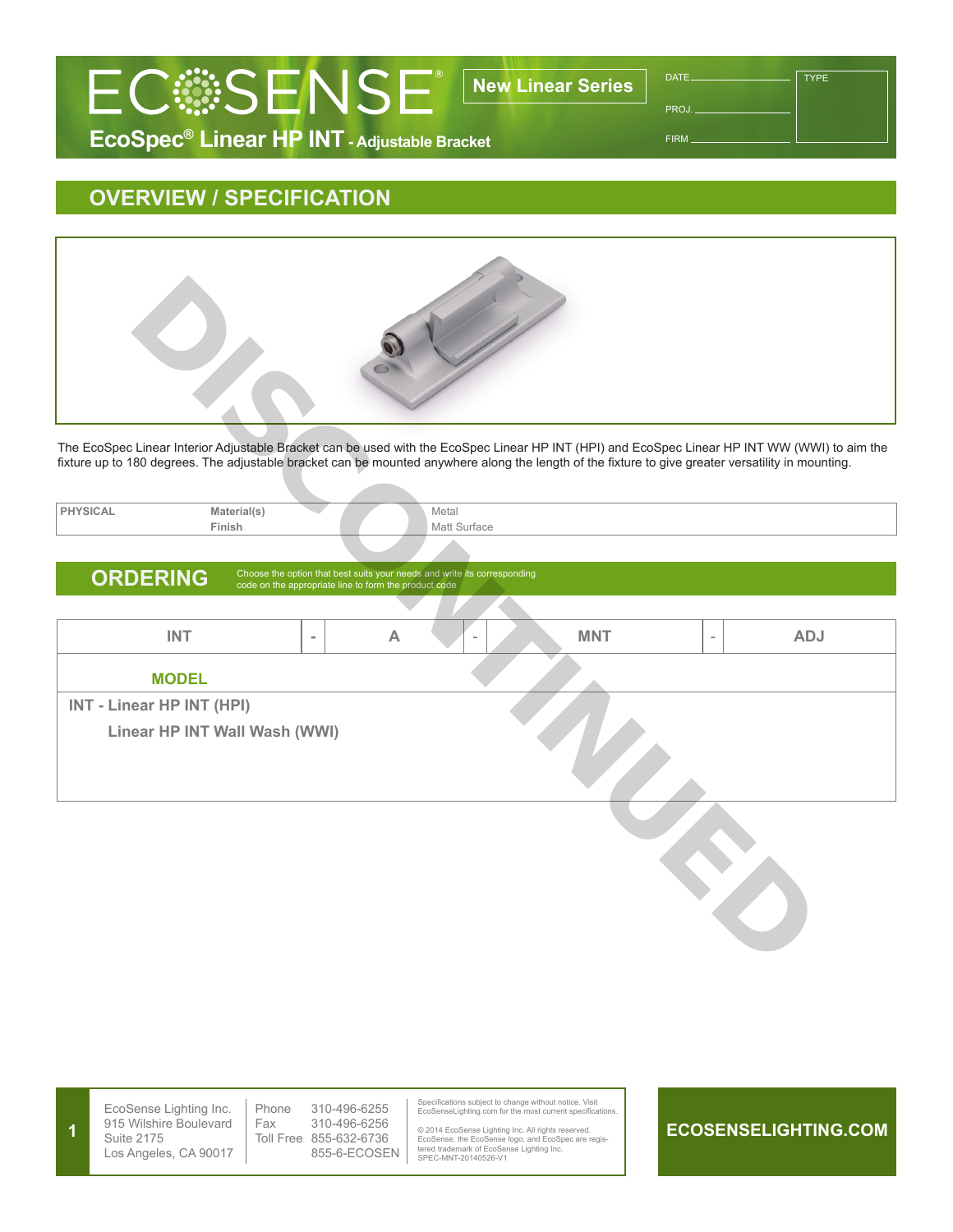

PROJ.

**TYPE** 

FIRM

## **EcoSpec® Linear HP INT - Adjustable Bracket**

## **OVERVIEW / SPECIFICATION**



The EcoSpec Linear Interior Adjustable Bracket can be used with the EcoSpec Linear HP INT (HPI) and EcoSpec Linear HP INT WW (WWI) to aim the fixture up to 180 degrees. The adjustable bracket can be mounted anywhere along the length of the fixture to give greater versatility in mounting.

| <b>PHYSICAL</b>                                                                                                                                      | Material(s) |  | Metal        |
|------------------------------------------------------------------------------------------------------------------------------------------------------|-------------|--|--------------|
|                                                                                                                                                      | Finish      |  | Matt Surface |
|                                                                                                                                                      |             |  |              |
| Choose the option that best suits your needs and write its corresponding<br><b>ORDERING</b><br>code on the appropriate line to form the product code |             |  |              |

## **INT - A** - **MNT** - **ADJ MODEL INT - Linear HP INT (HPI) Linear HP INT Wall Wash (WWI) Linear Interior Adjustable Byggeet can be used with the Eoospee Linear HP INT (HPI) and Eoospee Linear HP INT WW (W)<br>BO dogross. The adjustable bracket can be used with the Eoospee Linear HP INT (HPI) and Eoospee Linear H**

**ECOSENSELIGHTING.COM** EcoSense Lighting Inc. 915 Wilshire Boulevard Suite 2175 Los Angeles, CA 90017 Specifications subject to change without notice. Visit EcoSenseLighting.com for the most current specifications. © 2014 EcoSense Lighting Inc. All rights reserved. EcoSense, the EcoSense logo, and EcoSpec are regis-tered trademark of EcoSense Lighting Inc. SPEC-MNT-20140526-V1 Phone 310-496-6255 Fax 310-496-6256 Toll Free 855-632-6736 855-6-ECOSEN **1**